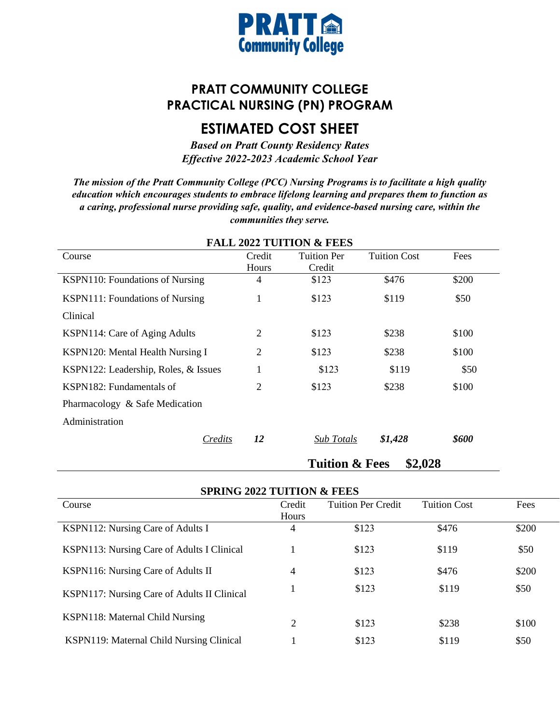

## **PRATT COMMUNITY COLLEGE PRACTICAL NURSING (PN) PROGRAM**

## **ESTIMATED COST SHEET**

*Based on Pratt County Residency Rates Effective 2022-2023 Academic School Year* 

*The mission of the Pratt Community College (PCC) Nursing Programs is to facilitate a high quality education which encourages students to embrace lifelong learning and prepares them to function as a caring, professional nurse providing safe, quality, and evidence-based nursing care, within the communities they serve.*

|                                      |        | TALL 2022 TUITIVI & FELD  |                     |       |
|--------------------------------------|--------|---------------------------|---------------------|-------|
| Course                               | Credit | <b>Tuition Per</b>        | <b>Tuition Cost</b> | Fees  |
|                                      | Hours  | Credit                    |                     |       |
| KSPN110: Foundations of Nursing      | 4      | \$123                     | \$476               | \$200 |
| KSPN111: Foundations of Nursing      | 1      | \$123                     | \$119               | \$50  |
| Clinical                             |        |                           |                     |       |
| KSPN114: Care of Aging Adults        | 2      | \$123                     | \$238               | \$100 |
| KSPN120: Mental Health Nursing I     | 2      | \$123                     | \$238               | \$100 |
| KSPN122: Leadership, Roles, & Issues |        | \$123                     | \$119               | \$50  |
| KSPN182: Fundamentals of             | 2      | \$123                     | \$238               | \$100 |
| Pharmacology & Safe Medication       |        |                           |                     |       |
| Administration                       |        |                           |                     |       |
| Credits                              | 12     | <b>Sub Totals</b>         | \$1,428             | \$600 |
|                                      |        | <b>Tuition &amp; Fees</b> | \$2,028             |       |

**FALL 2022 TUITION & FEES** 

| <b>SPRING 2022 TUITION &amp; FEES</b>       |                |                           |                     |       |
|---------------------------------------------|----------------|---------------------------|---------------------|-------|
| Course                                      | Credit         | <b>Tuition Per Credit</b> | <b>Tuition Cost</b> | Fees  |
|                                             | Hours          |                           |                     |       |
| KSPN112: Nursing Care of Adults I           | 4              | \$123                     | \$476               | \$200 |
| KSPN113: Nursing Care of Adults I Clinical  |                | \$123                     | \$119               | \$50  |
| KSPN116: Nursing Care of Adults II          | $\overline{4}$ | \$123                     | \$476               | \$200 |
| KSPN117: Nursing Care of Adults II Clinical |                | \$123                     | \$119               | \$50  |
| KSPN118: Maternal Child Nursing             | $\overline{2}$ | \$123                     | \$238               | \$100 |
| KSPN119: Maternal Child Nursing Clinical    |                | \$123                     | \$119               | \$50  |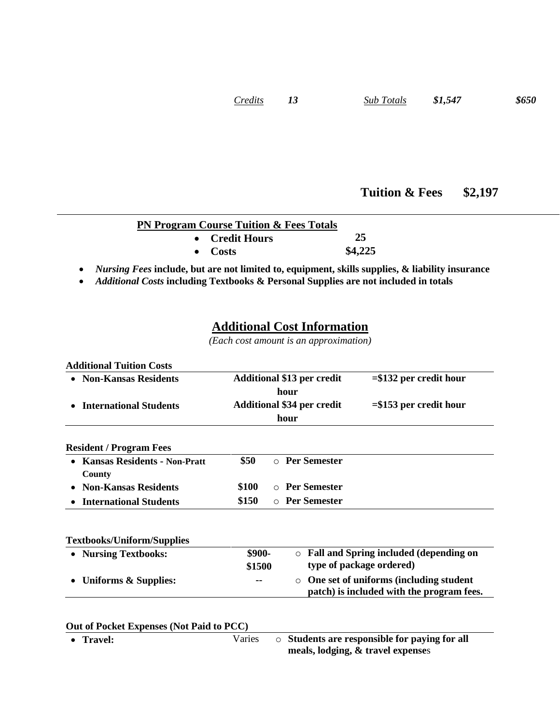## **Tuition & Fees \$2,197**

|  | <b>PN Program Course Tuition &amp; Fees Totals</b> |                                                                                                          |
|--|----------------------------------------------------|----------------------------------------------------------------------------------------------------------|
|  | • Credit Hours                                     | 25                                                                                                       |
|  | $\bullet$ Costs                                    | \$4,225                                                                                                  |
|  |                                                    | • <i>Nursing Fees</i> include, but are not limited to, equipment, skills supplies, & liability insurance |

• *Additional Costs* **including Textbooks & Personal Supplies are not included in totals**

## **Additional Cost Information**

*(Each cost amount is an approximation)*

| <b>Additional Tuition Costs</b>                  |                                   |                                   |                                                                                     |  |
|--------------------------------------------------|-----------------------------------|-----------------------------------|-------------------------------------------------------------------------------------|--|
| <b>Non-Kansas Residents</b>                      | <b>Additional \$13 per credit</b> |                                   | $= $132$ per credit hour                                                            |  |
|                                                  |                                   | hour                              |                                                                                     |  |
| <b>International Students</b>                    |                                   | <b>Additional \$34 per credit</b> | $= $153$ per credit hour                                                            |  |
|                                                  |                                   | hour                              |                                                                                     |  |
| <b>Resident / Program Fees</b>                   |                                   |                                   |                                                                                     |  |
| <b>Kansas Residents - Non-Pratt</b><br>$\bullet$ | \$50                              | <b>Per Semester</b><br>$\circ$    |                                                                                     |  |
| County                                           |                                   |                                   |                                                                                     |  |
| <b>Non-Kansas Residents</b>                      | \$100                             | ○ Per Semester                    |                                                                                     |  |
| <b>International Students</b>                    | \$150                             | o Per Semester                    |                                                                                     |  |
| <b>Textbooks/Uniform/Supplies</b>                |                                   |                                   |                                                                                     |  |
| • Nursing Textbooks:                             | \$900-                            | $\circ$                           | Fall and Spring included (depending on                                              |  |
|                                                  | \$1500                            |                                   | type of package ordered)                                                            |  |
| <b>Uniforms &amp; Supplies:</b>                  |                                   | $\Omega$                          | One set of uniforms (including student<br>patch) is included with the program fees. |  |
|                                                  |                                   |                                   |                                                                                     |  |
| Out of Pocket Expenses (Not Paid to PCC)         |                                   |                                   |                                                                                     |  |
| <b>Travel:</b>                                   | Varies                            |                                   | <b>O</b> Students are responsible for paying for all                                |  |

**meals, lodging, & travel expense**s